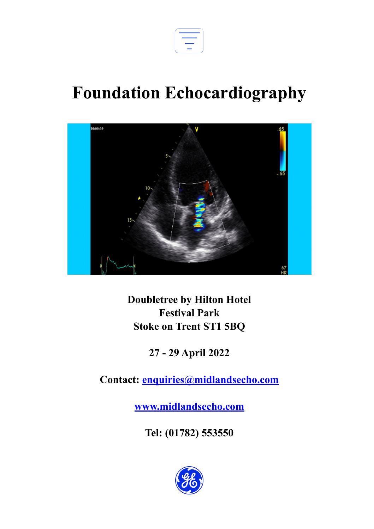

## **Foundation Echocardiography**



**Doubletree by Hilton Hotel Festival Park Stoke on Trent ST1 5BQ**

**27 - 29 April 2022**

**Contact: [enquiries@midlandsecho.com](mailto:enquiries@midlandsecho.com)**

**[www.midlandsecho.com](http://www.midlandsecho.com)**

**Tel: (01782) 553550**

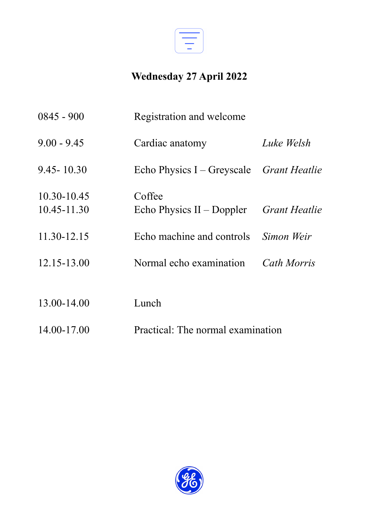

## **Wednesday 27 April 2022**

| $0845 - 900$               | Registration and welcome                          |             |
|----------------------------|---------------------------------------------------|-------------|
| $9.00 - 9.45$              | Cardiac anatomy                                   | Luke Welsh  |
| $9.45 - 10.30$             | Echo Physics I – Greyscale <i>Grant Heatlie</i>   |             |
| 10.30-10.45<br>10.45-11.30 | Coffee<br>Echo Physics II – Doppler Grant Heatlie |             |
| 11.30-12.15                | Echo machine and controls                         | Simon Weir  |
| 12.15-13.00                | Normal echo examination                           | Cath Morris |
| 13.00-14.00                | Lunch                                             |             |
| 14.00-17.00                | Practical: The normal examination                 |             |

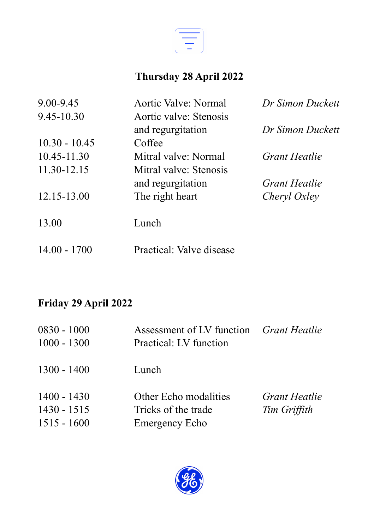

## **Thursday 28 April 2022**

| 9.00-9.45       | Aortic Valve: Normal     | Dr Simon Duckett |
|-----------------|--------------------------|------------------|
| 9.45-10.30      | Aortic valve: Stenosis   |                  |
|                 | and regurgitation        | Dr Simon Duckett |
| $10.30 - 10.45$ | Coffee                   |                  |
| 10.45-11.30     | Mitral valve: Normal     | Grant Heatlie    |
| 11.30-12.15     | Mitral valve: Stenosis   |                  |
|                 | and regurgitation        | Grant Heatlie    |
| 12.15-13.00     | The right heart          | Cheryl Oxley     |
| 13.00           | Lunch                    |                  |
| 14.00 - 1700    | Practical: Valve disease |                  |

## **Friday 29 April 2022**

| $0830 - 1000$<br>$1000 - 1300$                  | Assessment of LV function Grant Heatlie<br>Practical: LV function     |                               |
|-------------------------------------------------|-----------------------------------------------------------------------|-------------------------------|
| $1300 - 1400$                                   | Lunch                                                                 |                               |
| $1400 - 1430$<br>$1430 - 1515$<br>$1515 - 1600$ | Other Echo modalities<br>Tricks of the trade<br><b>Emergency Echo</b> | Grant Heatlie<br>Tim Griffith |